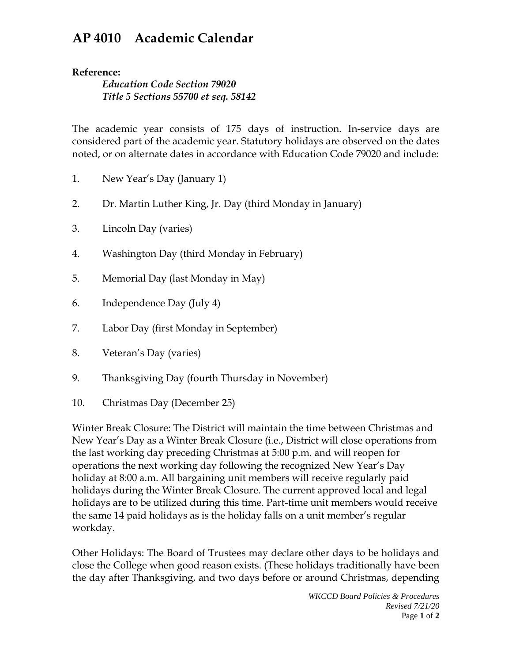## **AP 4010 Academic Calendar**

## **Reference:**

*Education Code Section 79020 Title 5 Sections 55700 et seq. 58142*

The academic year consists of 175 days of instruction. In-service days are considered part of the academic year. Statutory holidays are observed on the dates noted, or on alternate dates in accordance with Education Code 79020 and include:

- 1. New Year's Day (January 1)
- 2. Dr. Martin Luther King, Jr. Day (third Monday in January)
- 3. Lincoln Day (varies)
- 4. Washington Day (third Monday in February)
- 5. Memorial Day (last Monday in May)
- 6. Independence Day (July 4)
- 7. Labor Day (first Monday in September)
- 8. Veteran's Day (varies)
- 9. Thanksgiving Day (fourth Thursday in November)
- 10. Christmas Day (December 25)

Winter Break Closure: The District will maintain the time between Christmas and New Year's Day as a Winter Break Closure (i.e., District will close operations from the last working day preceding Christmas at 5:00 p.m. and will reopen for operations the next working day following the recognized New Year's Day holiday at 8:00 a.m. All bargaining unit members will receive regularly paid holidays during the Winter Break Closure. The current approved local and legal holidays are to be utilized during this time. Part-time unit members would receive the same 14 paid holidays as is the holiday falls on a unit member's regular workday.

Other Holidays: The Board of Trustees may declare other days to be holidays and close the College when good reason exists. (These holidays traditionally have been the day after Thanksgiving, and two days before or around Christmas, depending

> *WKCCD Board Policies & Procedures Revised 7/21/20* Page **1** of **2**